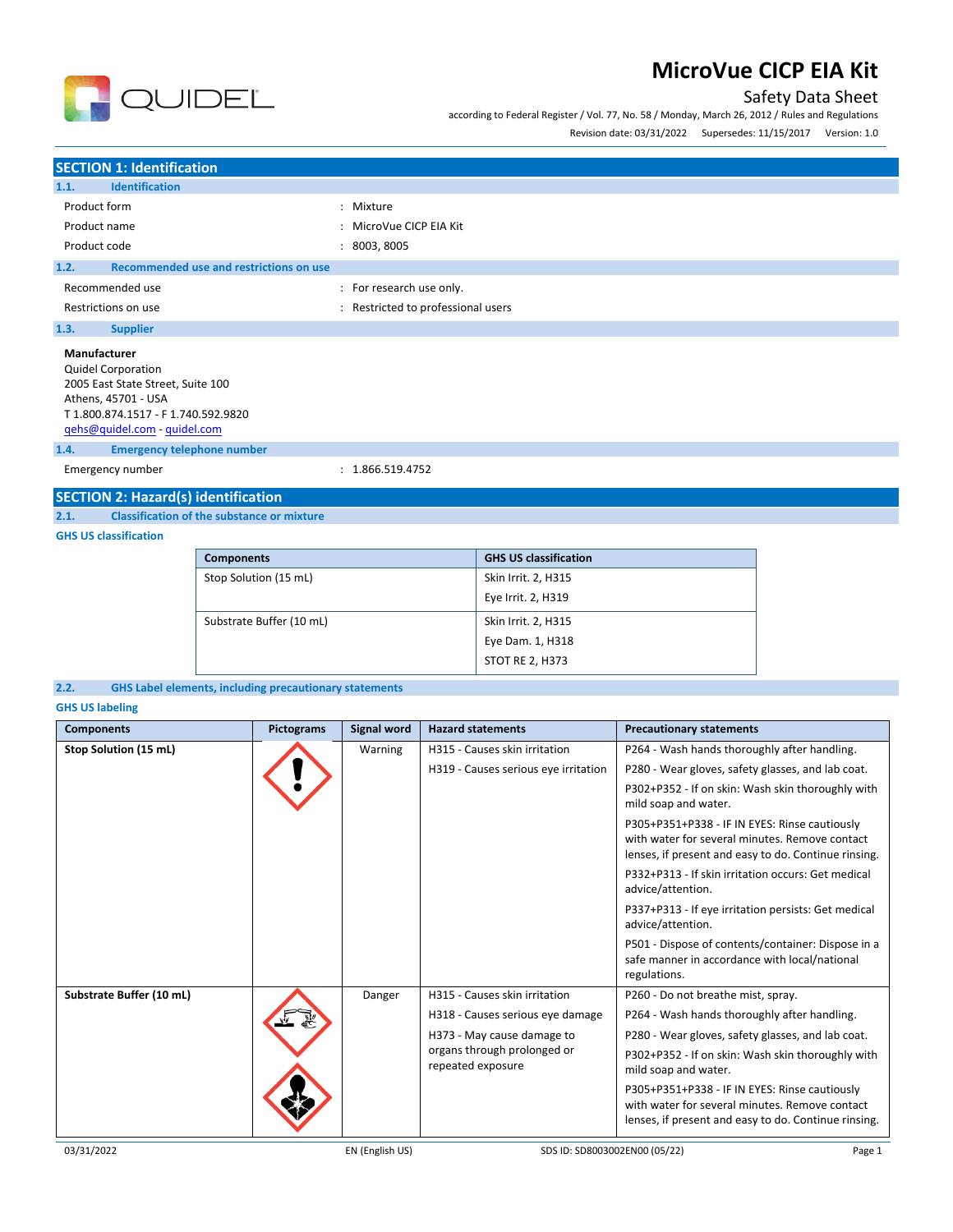

according to Federal Register / Vol. 77, No. 58 / Monday, March 26, 2012 / Rules and Regulations



Revision date: 03/31/2022 Supersedes: 11/15/2017 Version: 1.0

#### **SECTION 1: Identification 1.1. Identification** Product form  $\qquad \qquad : \qquad$  Mixture Product name  $\qquad \qquad$ : MicroVue CICP EIA Kit Product code : 8003, 8005 **1.2. Recommended use and restrictions on use** Recommended use  $\blacksquare$ : For research use only. Restrictions on use **interest in the COV** and Restricted to professional users **1.3. Supplier Manufacturer** Quidel Corporation 2005 East State Street, Suite 100 Athens, 45701 - USA T 1.800.874.1517 - F 1.740.592.9820 [qehs@quidel.com](mailto:qehs@quidel.com) - [quidel.com](http://quidel.com/) **1.4. Emergency telephone number** Emergency number : 1.866.519.4752

#### **SECTION 2: Hazard(s) identification**

**2.1. Classification of the substance or mixture**

#### **GHS US classification**

| <b>Components</b>        | <b>GHS US classification</b> |
|--------------------------|------------------------------|
| Stop Solution (15 mL)    | Skin Irrit. 2, H315          |
|                          | Eye Irrit. 2, H319           |
| Substrate Buffer (10 mL) | Skin Irrit. 2, H315          |
|                          | Eye Dam. 1, H318             |
|                          | <b>STOT RE 2, H373</b>       |

#### **2.2. GHS Label elements, including precautionary statements**

**GHS US labeling**

| <b>Components</b>        | <b>Pictograms</b> | <b>Signal word</b> | <b>Hazard statements</b>                         | <b>Precautionary statements</b>                                                                                                                         |
|--------------------------|-------------------|--------------------|--------------------------------------------------|---------------------------------------------------------------------------------------------------------------------------------------------------------|
| Stop Solution (15 mL)    |                   | Warning            | H315 - Causes skin irritation                    | P264 - Wash hands thoroughly after handling.                                                                                                            |
|                          |                   |                    | H319 - Causes serious eye irritation             | P280 - Wear gloves, safety glasses, and lab coat.                                                                                                       |
|                          |                   |                    |                                                  | P302+P352 - If on skin: Wash skin thoroughly with<br>mild soap and water.                                                                               |
|                          |                   |                    |                                                  | P305+P351+P338 - IF IN EYES: Rinse cautiously<br>with water for several minutes. Remove contact<br>lenses, if present and easy to do. Continue rinsing. |
|                          |                   |                    |                                                  | P332+P313 - If skin irritation occurs: Get medical<br>advice/attention.                                                                                 |
|                          |                   |                    |                                                  | P337+P313 - If eye irritation persists: Get medical<br>advice/attention.                                                                                |
|                          |                   |                    |                                                  | P501 - Dispose of contents/container: Dispose in a<br>safe manner in accordance with local/national<br>regulations.                                     |
| Substrate Buffer (10 mL) |                   | Danger             | H315 - Causes skin irritation                    | P260 - Do not breathe mist, spray.                                                                                                                      |
|                          |                   |                    | H318 - Causes serious eye damage                 | P264 - Wash hands thoroughly after handling.                                                                                                            |
|                          |                   |                    | H373 - May cause damage to                       | P280 - Wear gloves, safety glasses, and lab coat.                                                                                                       |
|                          |                   |                    | organs through prolonged or<br>repeated exposure | P302+P352 - If on skin: Wash skin thoroughly with<br>mild soap and water.                                                                               |
|                          |                   |                    |                                                  | P305+P351+P338 - IF IN EYES: Rinse cautiously<br>with water for several minutes. Remove contact<br>lenses, if present and easy to do. Continue rinsing. |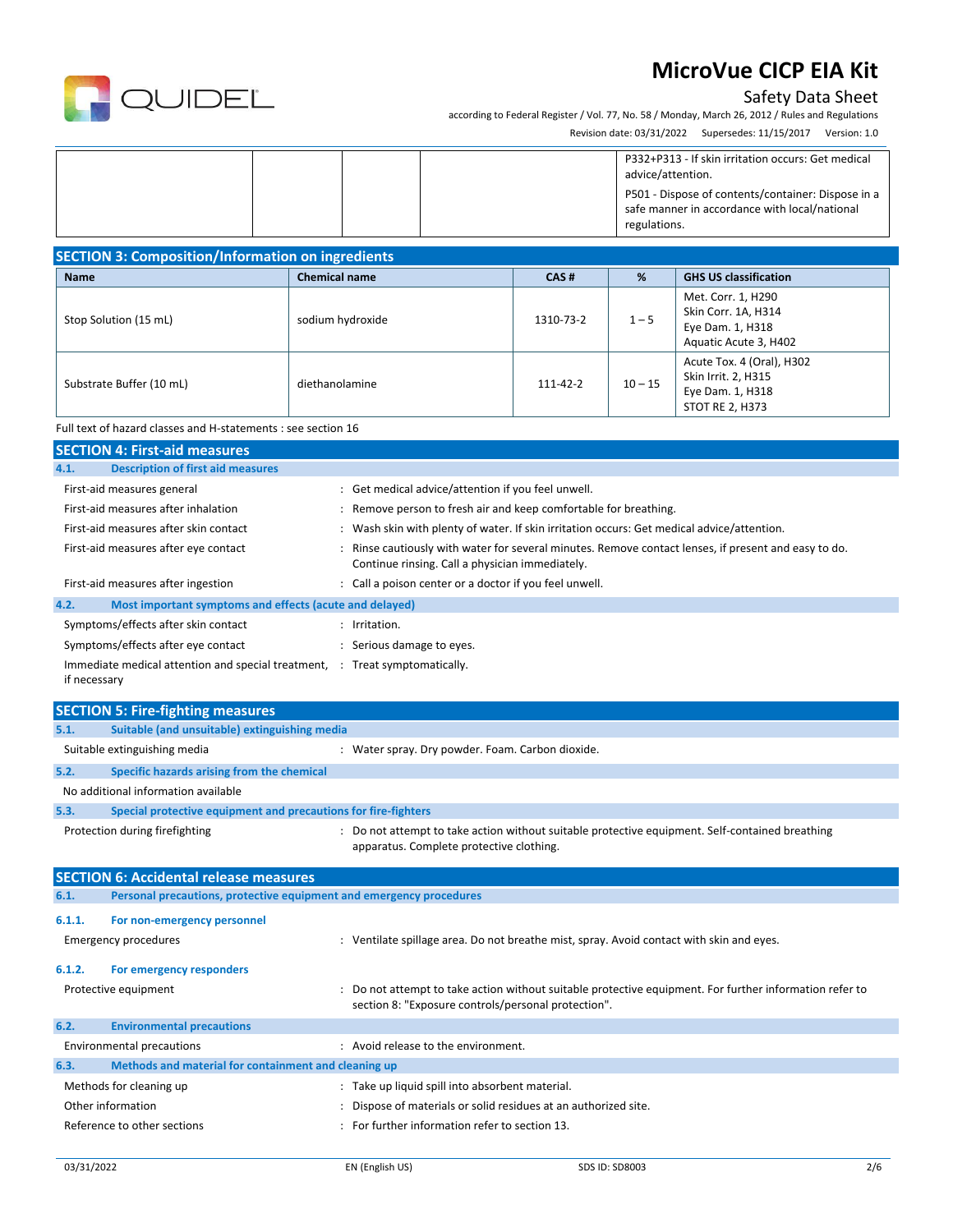

### Safety Data Sheet

according to Federal Register / Vol. 77, No. 58 / Monday, March 26, 2012 / Rules and Regulations Revision date: 03/31/2022 Supersedes: 11/15/2017 Version: 1.0

|  |  | P332+P313 - If skin irritation occurs: Get medical<br>advice/attention.<br>P501 - Dispose of contents/container: Dispose in a<br>safe manner in accordance with local/national<br>regulations. |
|--|--|------------------------------------------------------------------------------------------------------------------------------------------------------------------------------------------------|
|  |  |                                                                                                                                                                                                |

| <b>SECTION 3: Composition/Information on ingredients</b> |                      |                |           |                                                                                                |
|----------------------------------------------------------|----------------------|----------------|-----------|------------------------------------------------------------------------------------------------|
| <b>Name</b>                                              | <b>Chemical name</b> | CAS#           | %         | <b>GHS US classification</b>                                                                   |
| Stop Solution (15 mL)                                    | sodium hydroxide     | 1310-73-2      | $1 - 5$   | Met. Corr. 1, H290<br>Skin Corr. 1A, H314<br>Eye Dam. 1, H318<br>Aquatic Acute 3, H402         |
| Substrate Buffer (10 mL)                                 | diethanolamine       | $111 - 42 - 2$ | $10 - 15$ | Acute Tox. 4 (Oral), H302<br>Skin Irrit. 2, H315<br>Eye Dam. 1, H318<br><b>STOT RE 2, H373</b> |

Full text of hazard classes and H-statements : see section 16

| <b>SECTION 4: First-aid measures</b>                                 |                                                                                                                                                       |
|----------------------------------------------------------------------|-------------------------------------------------------------------------------------------------------------------------------------------------------|
| <b>Description of first aid measures</b><br>4.1.                     |                                                                                                                                                       |
| First-aid measures general                                           | : Get medical advice/attention if you feel unwell.                                                                                                    |
| First-aid measures after inhalation                                  | Remove person to fresh air and keep comfortable for breathing.                                                                                        |
| First-aid measures after skin contact                                | Wash skin with plenty of water. If skin irritation occurs: Get medical advice/attention.                                                              |
| First-aid measures after eye contact                                 | Rinse cautiously with water for several minutes. Remove contact lenses, if present and easy to do.<br>Continue rinsing. Call a physician immediately. |
| First-aid measures after ingestion                                   | : Call a poison center or a doctor if you feel unwell.                                                                                                |
| 4.2.<br>Most important symptoms and effects (acute and delayed)      |                                                                                                                                                       |
| Symptoms/effects after skin contact                                  | Irritation.                                                                                                                                           |
| Symptoms/effects after eye contact                                   | Serious damage to eyes.                                                                                                                               |
| Immediate medical attention and special treatment, :<br>if necessary | Treat symptomatically.                                                                                                                                |

|        | <b>SECTION 5: Fire-fighting measures</b>                            |                                                                                                                                                              |
|--------|---------------------------------------------------------------------|--------------------------------------------------------------------------------------------------------------------------------------------------------------|
| 5.1.   | Suitable (and unsuitable) extinguishing media                       |                                                                                                                                                              |
|        | Suitable extinguishing media                                        | : Water spray. Dry powder. Foam. Carbon dioxide.                                                                                                             |
| 5.2.   | Specific hazards arising from the chemical                          |                                                                                                                                                              |
|        | No additional information available                                 |                                                                                                                                                              |
| 5.3.   | Special protective equipment and precautions for fire-fighters      |                                                                                                                                                              |
|        | Protection during firefighting                                      | : Do not attempt to take action without suitable protective equipment. Self-contained breathing<br>apparatus. Complete protective clothing.                  |
|        | <b>SECTION 6: Accidental release measures</b>                       |                                                                                                                                                              |
| 6.1.   | Personal precautions, protective equipment and emergency procedures |                                                                                                                                                              |
| 6.1.1. | For non-emergency personnel                                         |                                                                                                                                                              |
|        | <b>Emergency procedures</b>                                         | : Ventilate spillage area. Do not breathe mist, spray. Avoid contact with skin and eyes.                                                                     |
| 6.1.2. | For emergency responders                                            |                                                                                                                                                              |
|        | Protective equipment                                                | Do not attempt to take action without suitable protective equipment. For further information refer to<br>section 8: "Exposure controls/personal protection". |
| 6.2.   | <b>Environmental precautions</b>                                    |                                                                                                                                                              |
|        | <b>Environmental precautions</b>                                    | : Avoid release to the environment.                                                                                                                          |
| 6.3.   | Methods and material for containment and cleaning up                |                                                                                                                                                              |
|        | Methods for cleaning up                                             | : Take up liquid spill into absorbent material.                                                                                                              |
|        | Other information                                                   | Dispose of materials or solid residues at an authorized site.                                                                                                |
|        | Reference to other sections                                         | For further information refer to section 13.                                                                                                                 |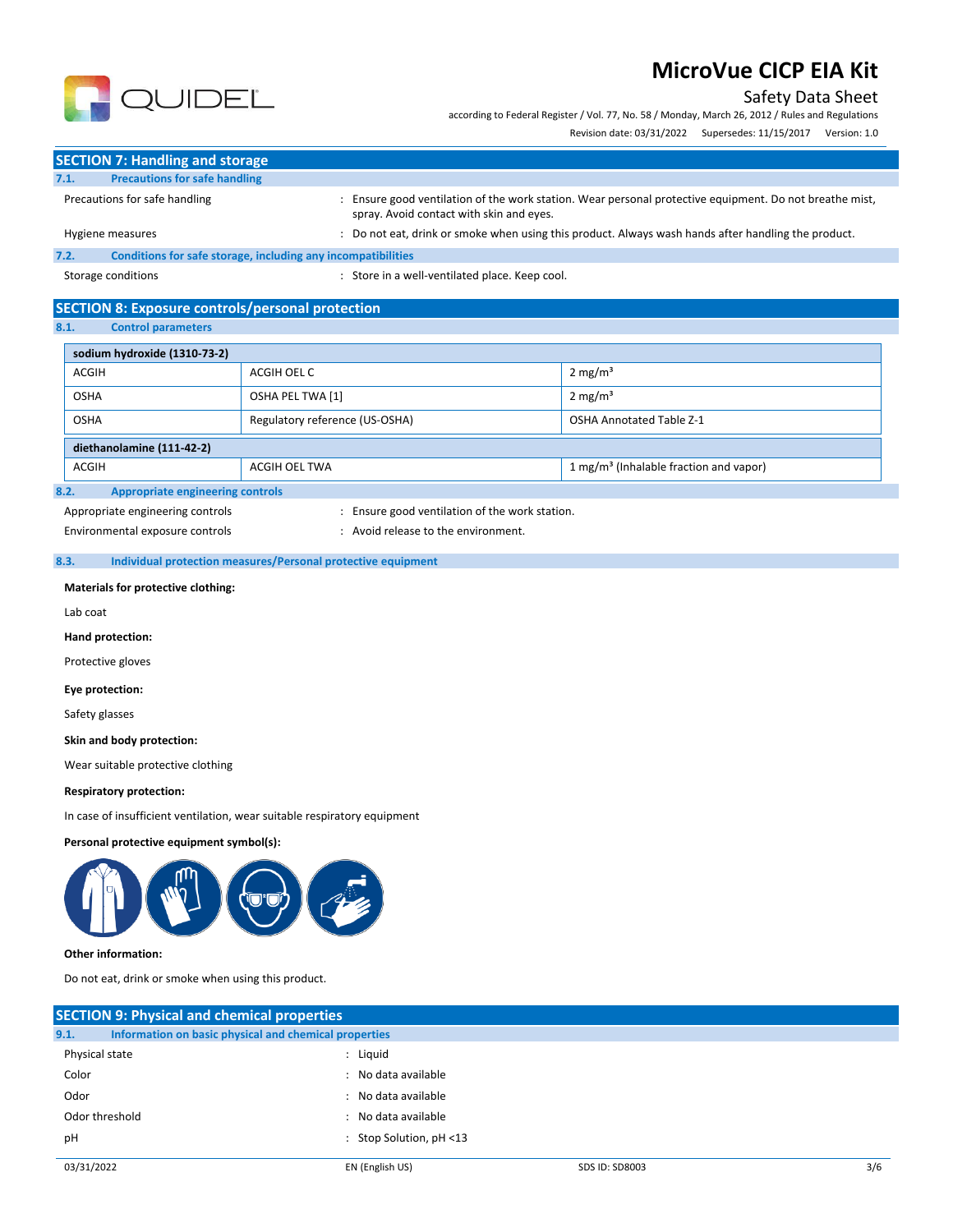#### Safety Data Sheet

according to Federal Register / Vol. 77, No. 58 / Monday, March 26, 2012 / Rules and Regulations

Revision date: 03/31/2022 Supersedes: 11/15/2017 Version: 1.0



|      | <b>SECTION 7: Handling and storage</b>                       |                                                                                                                                                   |
|------|--------------------------------------------------------------|---------------------------------------------------------------------------------------------------------------------------------------------------|
| 7.1. | <b>Precautions for safe handling</b>                         |                                                                                                                                                   |
|      | Precautions for safe handling                                | Ensure good ventilation of the work station. Wear personal protective equipment. Do not breathe mist,<br>spray. Avoid contact with skin and eyes. |
|      | Hygiene measures                                             | Do not eat, drink or smoke when using this product. Always wash hands after handling the product.                                                 |
| 7.2. | Conditions for safe storage, including any incompatibilities |                                                                                                                                                   |

Storage conditions **Storage conditions** : Store in a well-ventilated place. Keep cool.

#### **SECTION 8: Exposure controls/personal protection**

**8.1. Control parameters**

| sodium hydroxide (1310-73-2)                                                 |                                |                                 |  |  |
|------------------------------------------------------------------------------|--------------------------------|---------------------------------|--|--|
| <b>ACGIH</b>                                                                 | ACGIH OEL C                    | $2 \text{ mg/m}^3$              |  |  |
| <b>OSHA</b>                                                                  | OSHA PEL TWA [1]               | $2 \text{ mg/m}^3$              |  |  |
| <b>OSHA</b>                                                                  | Regulatory reference (US-OSHA) | <b>OSHA Annotated Table Z-1</b> |  |  |
| diethanolamine (111-42-2)                                                    |                                |                                 |  |  |
| 1 mg/m <sup>3</sup> (Inhalable fraction and vapor)<br>ACGIH<br>ACGIH OEL TWA |                                |                                 |  |  |
| <b>Appropriate engineering controls</b><br>8.2.                              |                                |                                 |  |  |

Appropriate engineering controls **interpretent controls** : Ensure good ventilation of the work station.

Environmental exposure controls entitled by the environment.

#### **8.3. Individual protection measures/Personal protective equipment**

**Materials for protective clothing:**

Lab coat

**Hand protection:** 

Protective gloves

**Eye protection:**

Safety glasses

**Skin and body protection:**

Wear suitable protective clothing

#### **Respiratory protection:**

In case of insufficient ventilation, wear suitable respiratory equipment

#### **Personal protective equipment symbol(s):**



#### **Other information:**

Do not eat, drink or smoke when using this product.

| <b>SECTION 9: Physical and chemical properties</b>            |                            |                       |     |  |
|---------------------------------------------------------------|----------------------------|-----------------------|-----|--|
| Information on basic physical and chemical properties<br>9.1. |                            |                       |     |  |
| Physical state                                                | : Liquid                   |                       |     |  |
| Color                                                         | : No data available        |                       |     |  |
| Odor                                                          | : No data available        |                       |     |  |
| Odor threshold                                                | : No data available        |                       |     |  |
| pH                                                            | : Stop Solution, $pH < 13$ |                       |     |  |
| 03/31/2022                                                    | EN (English US)            | <b>SDS ID: SD8003</b> | 3/6 |  |
|                                                               |                            |                       |     |  |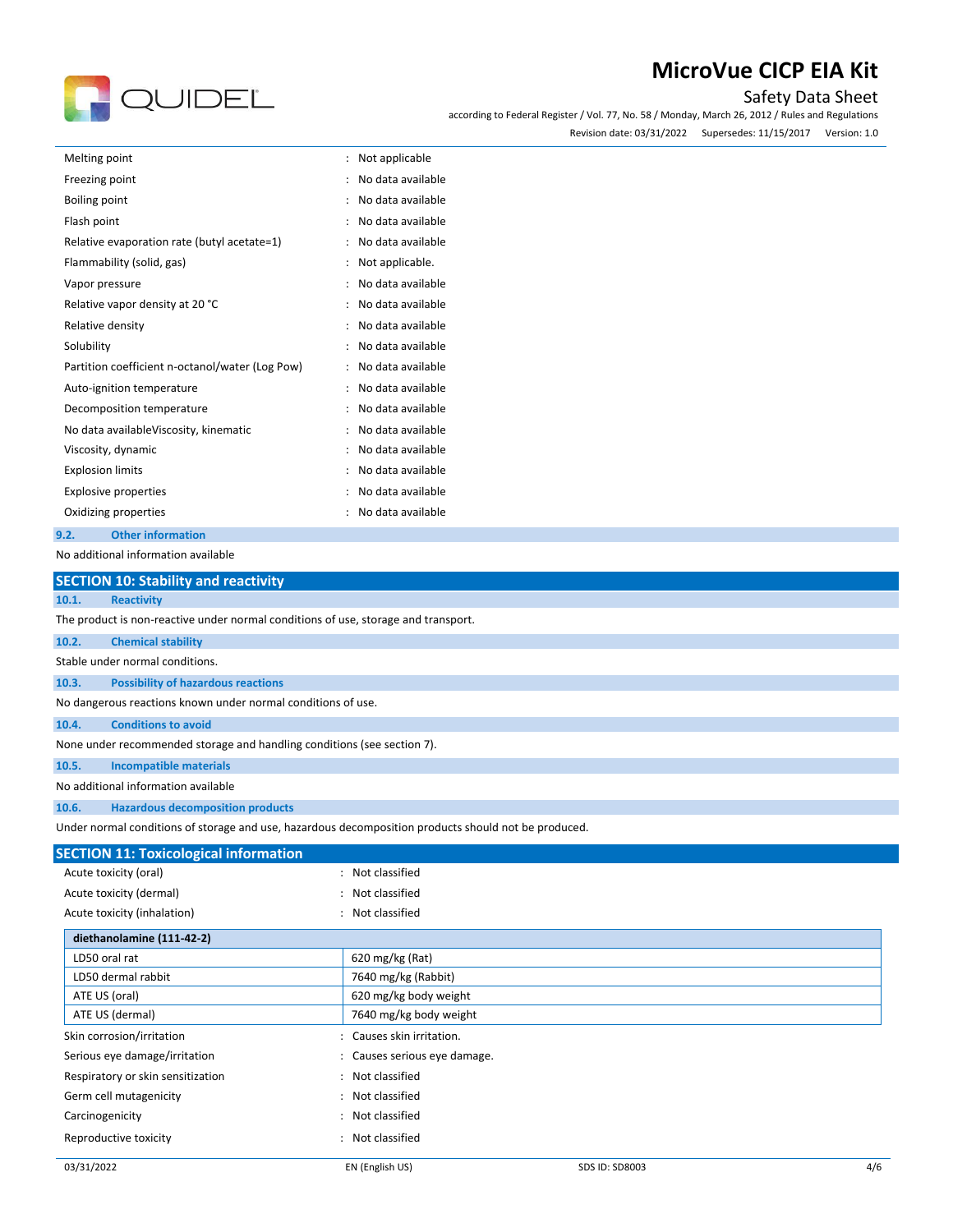# QUIDEL

## **MicroVue CICP EIA Kit**

#### Safety Data Sheet

according to Federal Register / Vol. 77, No. 58 / Monday, March 26, 2012 / Rules and Regulations Revision date: 03/31/2022 Supersedes: 11/15/2017 Version: 1.0

| Melting point                                   | Not applicable<br>$\ddot{\phantom{a}}$    |
|-------------------------------------------------|-------------------------------------------|
| Freezing point                                  | No data available<br>$\ddot{\cdot}$       |
| <b>Boiling point</b>                            | No data available<br>$\ddot{\phantom{a}}$ |
| Flash point                                     | No data available<br>$\ddot{\phantom{a}}$ |
| Relative evaporation rate (butyl acetate=1)     | No data available<br>٠                    |
| Flammability (solid, gas)                       | Not applicable.                           |
| Vapor pressure                                  | No data available                         |
| Relative vapor density at 20 °C                 | No data available                         |
| Relative density                                | No data available                         |
| Solubility                                      | No data available                         |
| Partition coefficient n-octanol/water (Log Pow) | No data available                         |
| Auto-ignition temperature                       | No data available                         |
| Decomposition temperature                       | No data available                         |
| No data availableViscosity, kinematic           | No data available                         |
| Viscosity, dynamic                              | No data available<br>$\ddot{\phantom{a}}$ |
| <b>Explosion limits</b>                         | No data available<br>$\ddot{\phantom{a}}$ |
| <b>Explosive properties</b>                     | No data available                         |
| Oxidizing properties                            | No data available                         |
| <b>Other information</b><br>9.2.                |                                           |

No additional information available

| <b>SECTION 10: Stability and reactivity</b>                                        |                                                                                                      |  |  |  |
|------------------------------------------------------------------------------------|------------------------------------------------------------------------------------------------------|--|--|--|
| <b>Reactivity</b><br>10.1.                                                         |                                                                                                      |  |  |  |
| The product is non-reactive under normal conditions of use, storage and transport. |                                                                                                      |  |  |  |
| 10.2.<br><b>Chemical stability</b>                                                 |                                                                                                      |  |  |  |
| Stable under normal conditions.                                                    |                                                                                                      |  |  |  |
| <b>Possibility of hazardous reactions</b><br>10.3.                                 |                                                                                                      |  |  |  |
| No dangerous reactions known under normal conditions of use.                       |                                                                                                      |  |  |  |
| <b>Conditions to avoid</b><br>10.4.                                                |                                                                                                      |  |  |  |
| None under recommended storage and handling conditions (see section 7).            |                                                                                                      |  |  |  |
| <b>Incompatible materials</b><br>10.5.                                             |                                                                                                      |  |  |  |
| No additional information available                                                |                                                                                                      |  |  |  |
| <b>Hazardous decomposition products</b><br>10.6.                                   |                                                                                                      |  |  |  |
|                                                                                    | Under normal conditions of storage and use, hazardous decomposition products should not be produced. |  |  |  |
| <b>SECTION 11: Toxicological information</b>                                       |                                                                                                      |  |  |  |
| Acute toxicity (oral)                                                              | Not classified                                                                                       |  |  |  |
| Acute toxicity (dermal)                                                            | Not classified                                                                                       |  |  |  |
| Acute toxicity (inhalation)                                                        | Not classified                                                                                       |  |  |  |
| diethanolamine (111-42-2)                                                          |                                                                                                      |  |  |  |
| LD50 oral rat                                                                      | 620 mg/kg (Rat)                                                                                      |  |  |  |
| LD50 dermal rabbit                                                                 | 7640 mg/kg (Rabbit)                                                                                  |  |  |  |
| ATE US (oral)                                                                      | 620 mg/kg body weight                                                                                |  |  |  |
| ATE US (dermal)                                                                    | 7640 mg/kg body weight                                                                               |  |  |  |
| Skin corrosion/irritation                                                          | Causes skin irritation.                                                                              |  |  |  |
| Serious eye damage/irritation                                                      | Causes serious eye damage.                                                                           |  |  |  |
| Respiratory or skin sensitization                                                  | Not classified                                                                                       |  |  |  |

Germ cell mutagenicity **Second Contract Contract Contract Contract Contract Contract Contract Contract Contract Contract Contract Contract Contract Contract Contract Contract Contract Contract Contract Contract Contract Co** Carcinogenicity **Example 2018** 2019 2019 2021 2022 2023 Reproductive toxicity **in the case of the CR is a control of the CR** in Not classified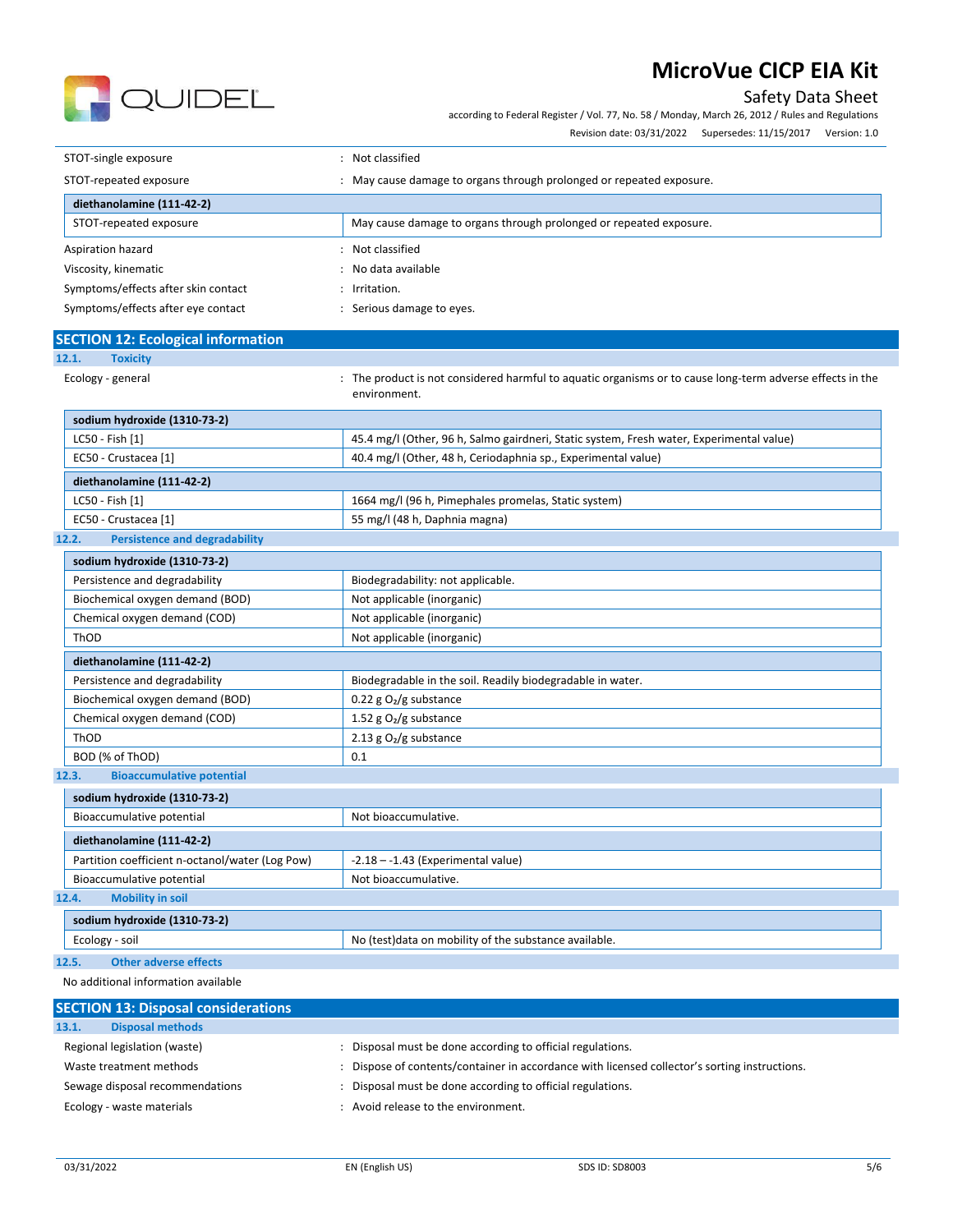

Safety Data Sheet

according to Federal Register / Vol. 77, No. 58 / Monday, March 26, 2012 / Rules and Regulations

Revision date: 03/31/2022 Supersedes: 11/15/2017 Version: 1.0

| STOT-single exposure                | Not classified                                                     |
|-------------------------------------|--------------------------------------------------------------------|
| STOT-repeated exposure              | May cause damage to organs through prolonged or repeated exposure. |
| diethanolamine (111-42-2)           |                                                                    |
| STOT-repeated exposure              | May cause damage to organs through prolonged or repeated exposure. |
| Aspiration hazard                   | Not classified                                                     |
| Viscosity, kinematic                | No data available                                                  |
| Symptoms/effects after skin contact | Irritation.                                                        |
| Symptoms/effects after eye contact  | Serious damage to eyes.                                            |

| <b>SECTION 12: Ecological information</b> |                                                                                                           |
|-------------------------------------------|-----------------------------------------------------------------------------------------------------------|
| 12.1.<br><b>Toxicity</b>                  |                                                                                                           |
| Ecology - general                         | : The product is not considered harmful to aquatic organisms or to cause long-term adverse effects in the |

environment.

| sodium hydroxide (1310-73-2) |                                                                                          |
|------------------------------|------------------------------------------------------------------------------------------|
| LC50 - Fish [1]              | 45.4 mg/l (Other, 96 h, Salmo gairdneri, Static system, Fresh water, Experimental value) |
| EC50 - Crustacea [1]         | 40.4 mg/l (Other, 48 h, Ceriodaphnia sp., Experimental value)                            |
|                              |                                                                                          |
| diethanolamine (111-42-2)    |                                                                                          |
| LC50 - Fish [1]              | 1664 mg/l (96 h, Pimephales promelas, Static system)                                     |
| EC50 - Crustacea [1]         | 55 mg/l (48 h, Daphnia magna)                                                            |

#### **12.2. Persistence and degradability**

| sodium hydroxide (1310-73-2)              |                                                            |
|-------------------------------------------|------------------------------------------------------------|
| Persistence and degradability             | Biodegradability: not applicable.                          |
| Biochemical oxygen demand (BOD)           | Not applicable (inorganic)                                 |
| Chemical oxygen demand (COD)              | Not applicable (inorganic)                                 |
| ThOD                                      | Not applicable (inorganic)                                 |
| diethanolamine (111-42-2)                 |                                                            |
| Persistence and degradability             | Biodegradable in the soil. Readily biodegradable in water. |
| Biochemical oxygen demand (BOD)           | 0.22 g $O_2/g$ substance                                   |
| Chemical oxygen demand (COD)              | 1.52 g $O_2$ /g substance                                  |
| ThOD                                      | 2.13 g $O2/g$ substance                                    |
| BOD (% of ThOD)                           | 0.1                                                        |
| <b>Bioaccumulative potential</b><br>12.3. |                                                            |

| sodium hydroxide (1310-73-2)                    |                                                        |  |
|-------------------------------------------------|--------------------------------------------------------|--|
| Bioaccumulative potential                       | Not bioaccumulative.                                   |  |
| diethanolamine (111-42-2)                       |                                                        |  |
| Partition coefficient n-octanol/water (Log Pow) | $-2.18 - -1.43$ (Experimental value)                   |  |
| Bioaccumulative potential                       | Not bioaccumulative.                                   |  |
| <b>Mobility in soil</b><br>12.4.                |                                                        |  |
| sodium hydroxide (1310-73-2)                    |                                                        |  |
| Ecology - soil                                  | No (test) data on mobility of the substance available. |  |

#### **12.5. Other adverse effects**

No additional information available

| <b>SECTION 13: Disposal considerations</b> |                                                                                             |
|--------------------------------------------|---------------------------------------------------------------------------------------------|
| <b>Disposal methods</b><br>13.1.           |                                                                                             |
| Regional legislation (waste)               | Disposal must be done according to official regulations.                                    |
| Waste treatment methods                    | Dispose of contents/container in accordance with licensed collector's sorting instructions. |
| Sewage disposal recommendations            | Disposal must be done according to official regulations.                                    |
| Ecology - waste materials                  | Avoid release to the environment.                                                           |